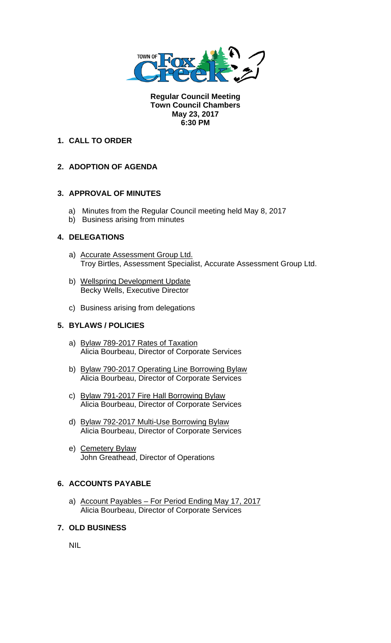

**Regular Council Meeting Town Council Chambers May 23, 2017 6:30 PM** 

## **1. CALL TO ORDER**

# **2. ADOPTION OF AGENDA**

### **3. APPROVAL OF MINUTES**

- a) Minutes from the Regular Council meeting held May 8, 2017
- b) Business arising from minutes

# **4. DELEGATIONS**

- a) Accurate Assessment Group Ltd. Troy Birtles, Assessment Specialist, Accurate Assessment Group Ltd.
- b) Wellspring Development Update Becky Wells, Executive Director
- c) Business arising from delegations

## **5. BYLAWS / POLICIES**

- a) Bylaw 789-2017 Rates of Taxation Alicia Bourbeau, Director of Corporate Services
- b) Bylaw 790-2017 Operating Line Borrowing Bylaw Alicia Bourbeau, Director of Corporate Services
- c) Bylaw 791-2017 Fire Hall Borrowing Bylaw Alicia Bourbeau, Director of Corporate Services
- d) Bylaw 792-2017 Multi-Use Borrowing Bylaw Alicia Bourbeau, Director of Corporate Services
- e) Cemetery Bylaw John Greathead, Director of Operations

### **6. ACCOUNTS PAYABLE**

a) Account Payables – For Period Ending May 17, 2017 Alicia Bourbeau, Director of Corporate Services

# **7. OLD BUSINESS**

NIL